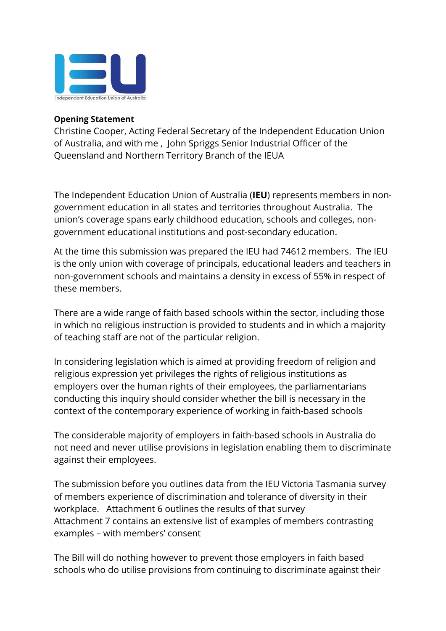

## **Opening Statement**

Christine Cooper, Acting Federal Secretary of the Independent Education Union of Australia, and with me , John Spriggs Senior Industrial Officer of the Queensland and Northern Territory Branch of the IEUA

The Independent Education Union of Australia (**IEU**) represents members in nongovernment education in all states and territories throughout Australia. The union's coverage spans early childhood education, schools and colleges, nongovernment educational institutions and post-secondary education.

At the time this submission was prepared the IEU had 74612 members. The IEU is the only union with coverage of principals, educational leaders and teachers in non-government schools and maintains a density in excess of 55% in respect of these members.

There are a wide range of faith based schools within the sector, including those in which no religious instruction is provided to students and in which a majority of teaching staff are not of the particular religion.

In considering legislation which is aimed at providing freedom of religion and religious expression yet privileges the rights of religious institutions as employers over the human rights of their employees, the parliamentarians conducting this inquiry should consider whether the bill is necessary in the context of the contemporary experience of working in faith-based schools

The considerable majority of employers in faith-based schools in Australia do not need and never utilise provisions in legislation enabling them to discriminate against their employees.

The submission before you outlines data from the IEU Victoria Tasmania survey of members experience of discrimination and tolerance of diversity in their workplace. Attachment 6 outlines the results of that survey Attachment 7 contains an extensive list of examples of members contrasting examples – with members' consent

The Bill will do nothing however to prevent those employers in faith based schools who do utilise provisions from continuing to discriminate against their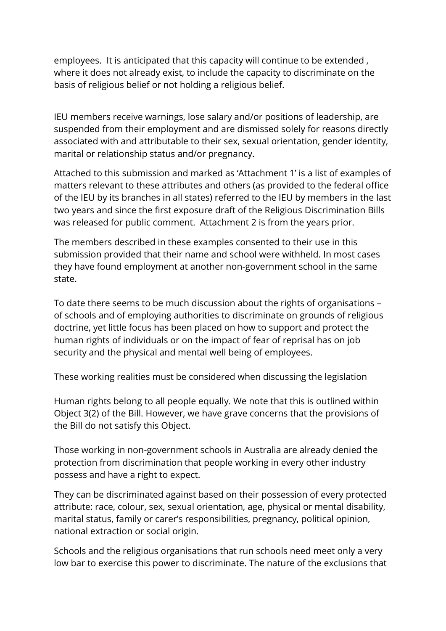employees. It is anticipated that this capacity will continue to be extended , where it does not already exist, to include the capacity to discriminate on the basis of religious belief or not holding a religious belief.

IEU members receive warnings, lose salary and/or positions of leadership, are suspended from their employment and are dismissed solely for reasons directly associated with and attributable to their sex, sexual orientation, gender identity, marital or relationship status and/or pregnancy.

Attached to this submission and marked as 'Attachment 1' is a list of examples of matters relevant to these attributes and others (as provided to the federal office of the IEU by its branches in all states) referred to the IEU by members in the last two years and since the first exposure draft of the Religious Discrimination Bills was released for public comment. Attachment 2 is from the years prior.

The members described in these examples consented to their use in this submission provided that their name and school were withheld. In most cases they have found employment at another non-government school in the same state.

To date there seems to be much discussion about the rights of organisations – of schools and of employing authorities to discriminate on grounds of religious doctrine, yet little focus has been placed on how to support and protect the human rights of individuals or on the impact of fear of reprisal has on job security and the physical and mental well being of employees.

These working realities must be considered when discussing the legislation

Human rights belong to all people equally. We note that this is outlined within Object 3(2) of the Bill. However, we have grave concerns that the provisions of the Bill do not satisfy this Object.

Those working in non-government schools in Australia are already denied the protection from discrimination that people working in every other industry possess and have a right to expect.

They can be discriminated against based on their possession of every protected attribute: race, colour, sex, sexual orientation, age, physical or mental disability, marital status, family or carer's responsibilities, pregnancy, political opinion, national extraction or social origin.

Schools and the religious organisations that run schools need meet only a very low bar to exercise this power to discriminate. The nature of the exclusions that